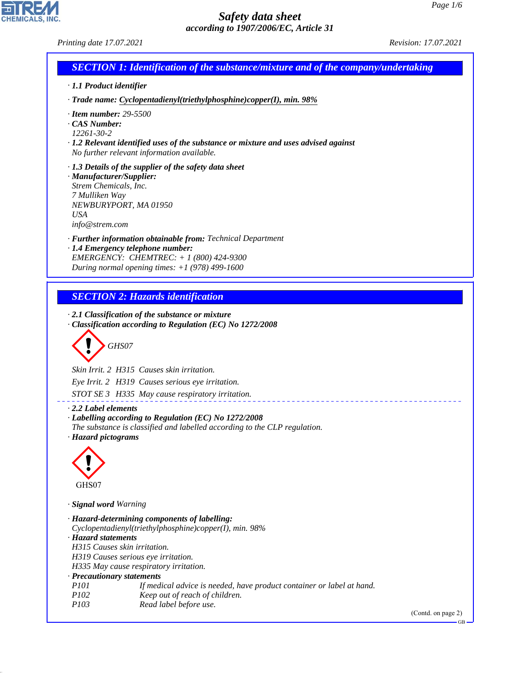CHEMICALS, INC.

44.1.1

| Printing date 17.07.2021                                                                                                                                                                          |                                                                                                                                                                                                                                                                          | Revision: 17.07.2021 |
|---------------------------------------------------------------------------------------------------------------------------------------------------------------------------------------------------|--------------------------------------------------------------------------------------------------------------------------------------------------------------------------------------------------------------------------------------------------------------------------|----------------------|
|                                                                                                                                                                                                   | <b>SECTION 1: Identification of the substance/mixture and of the company/undertaking</b>                                                                                                                                                                                 |                      |
| · 1.1 Product identifier                                                                                                                                                                          |                                                                                                                                                                                                                                                                          |                      |
|                                                                                                                                                                                                   | · Trade name: Cyclopentadienyl(triethylphosphine)copper(I), min. 98%                                                                                                                                                                                                     |                      |
| $\cdot$ Item number: 29-5500<br>$\cdot$ CAS Number:<br>12261-30-2                                                                                                                                 | $\cdot$ 1.2 Relevant identified uses of the substance or mixture and uses advised against<br>No further relevant information available.                                                                                                                                  |                      |
| · Manufacturer/Supplier:<br>Strem Chemicals, Inc.<br>7 Mulliken Way<br>NEWBURYPORT, MA 01950<br><b>USA</b><br>info@strem.com                                                                      | $\cdot$ 1.3 Details of the supplier of the safety data sheet                                                                                                                                                                                                             |                      |
| · 1.4 Emergency telephone number:                                                                                                                                                                 | · Further information obtainable from: Technical Department<br>EMERGENCY: CHEMTREC: + 1 (800) 424-9300<br>During normal opening times: $+1$ (978) 499-1600                                                                                                               |                      |
|                                                                                                                                                                                                   | <b>SECTION 2: Hazards identification</b>                                                                                                                                                                                                                                 |                      |
| GHS07                                                                                                                                                                                             | $\cdot$ 2.1 Classification of the substance or mixture<br>Classification according to Regulation (EC) No 1272/2008<br>Skin Irrit. 2 H315 Causes skin irritation.<br>Eye Irrit. 2 H319 Causes serious eye irritation.<br>STOT SE 3 H335 May cause respiratory irritation. |                      |
| $\cdot$ 2.2 Label elements<br>· Hazard pictograms                                                                                                                                                 | · Labelling according to Regulation (EC) No 1272/2008<br>The substance is classified and labelled according to the CLP regulation.                                                                                                                                       |                      |
| GHS07                                                                                                                                                                                             |                                                                                                                                                                                                                                                                          |                      |
| · Signal word Warning                                                                                                                                                                             |                                                                                                                                                                                                                                                                          |                      |
| · Hazard statements<br>H315 Causes skin irritation.<br>H319 Causes serious eye irritation.<br>H335 May cause respiratory irritation.<br>· Precautionary statements<br>P101<br>P102<br><i>P103</i> | · Hazard-determining components of labelling:<br>Cyclopentadienyl(triethylphosphine)copper(I), min. 98%<br>If medical advice is needed, have product container or label at hand.<br>Keep out of reach of children.<br>Read label before use.                             |                      |
|                                                                                                                                                                                                   |                                                                                                                                                                                                                                                                          | (Contd. on page 2)   |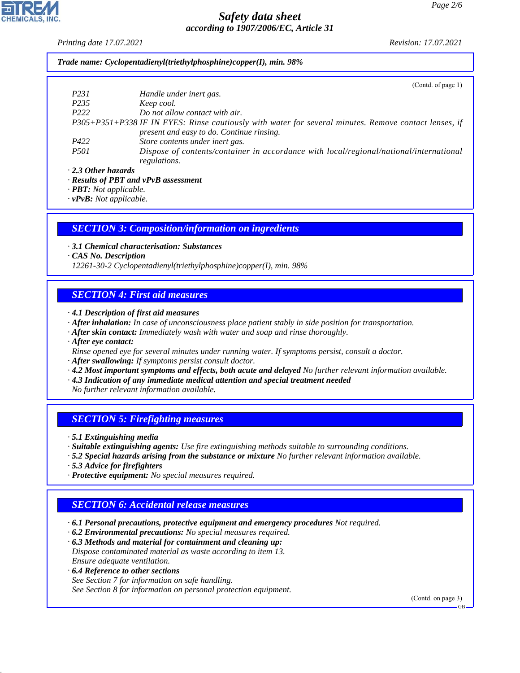*Printing date 17.07.2021 Revision: 17.07.2021*

*Trade name: Cyclopentadienyl(triethylphosphine)copper(I), min. 98%*

|                     | (Contd. of page 1)                                                                                    |
|---------------------|-------------------------------------------------------------------------------------------------------|
| P <sub>231</sub>    | Handle under inert gas.                                                                               |
| P <sub>235</sub>    | Keep cool.                                                                                            |
| P <sub>222</sub>    | Do not allow contact with air.                                                                        |
|                     | P305+P351+P338 IF IN EYES: Rinse cautiously with water for several minutes. Remove contact lenses, if |
|                     | present and easy to do. Continue rinsing.                                                             |
| P422                | Store contents under inert gas.                                                                       |
| <i>P501</i>         | Dispose of contents/container in accordance with local/regional/national/international                |
|                     | regulations.                                                                                          |
| . 2.3 Other hazards |                                                                                                       |

*· Results of PBT and vPvB assessment*

*· PBT: Not applicable.*

*· vPvB: Not applicable.*

#### *SECTION 3: Composition/information on ingredients*

*· 3.1 Chemical characterisation: Substances*

*· CAS No. Description*

*12261-30-2 Cyclopentadienyl(triethylphosphine)copper(I), min. 98%*

#### *SECTION 4: First aid measures*

*· 4.1 Description of first aid measures*

- *· After inhalation: In case of unconsciousness place patient stably in side position for transportation.*
- *· After skin contact: Immediately wash with water and soap and rinse thoroughly.*

*· After eye contact:*

- *Rinse opened eye for several minutes under running water. If symptoms persist, consult a doctor.*
- *· After swallowing: If symptoms persist consult doctor.*
- *· 4.2 Most important symptoms and effects, both acute and delayed No further relevant information available.*
- *· 4.3 Indication of any immediate medical attention and special treatment needed*

*No further relevant information available.*

#### *SECTION 5: Firefighting measures*

*· 5.1 Extinguishing media*

- *· Suitable extinguishing agents: Use fire extinguishing methods suitable to surrounding conditions.*
- *· 5.2 Special hazards arising from the substance or mixture No further relevant information available.*
- *· 5.3 Advice for firefighters*

44.1.1

*· Protective equipment: No special measures required.*

### *SECTION 6: Accidental release measures*

- *· 6.1 Personal precautions, protective equipment and emergency procedures Not required.*
- *· 6.2 Environmental precautions: No special measures required.*
- *· 6.3 Methods and material for containment and cleaning up: Dispose contaminated material as waste according to item 13. Ensure adequate ventilation.*
- *· 6.4 Reference to other sections See Section 7 for information on safe handling. See Section 8 for information on personal protection equipment.*

(Contd. on page 3)

GB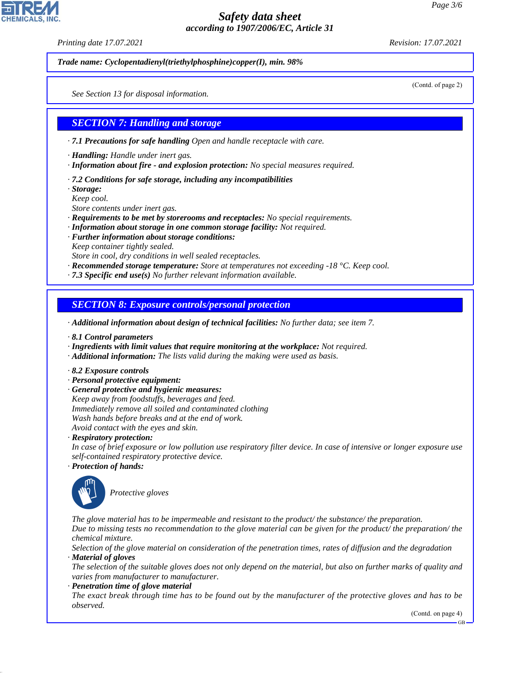*Printing date 17.07.2021 Revision: 17.07.2021*

*Trade name: Cyclopentadienyl(triethylphosphine)copper(I), min. 98%*

(Contd. of page 2)

*See Section 13 for disposal information.*

#### *SECTION 7: Handling and storage*

*· 7.1 Precautions for safe handling Open and handle receptacle with care.*

- *· Handling: Handle under inert gas.*
- *· Information about fire and explosion protection: No special measures required.*
- *· 7.2 Conditions for safe storage, including any incompatibilities*
- *· Storage:*
- *Keep cool.*
- *Store contents under inert gas.*
- *· Requirements to be met by storerooms and receptacles: No special requirements.*
- *· Information about storage in one common storage facility: Not required.*
- *· Further information about storage conditions: Keep container tightly sealed.*
- *Store in cool, dry conditions in well sealed receptacles.*
- *· Recommended storage temperature: Store at temperatures not exceeding -18 °C. Keep cool.*
- *· 7.3 Specific end use(s) No further relevant information available.*

*SECTION 8: Exposure controls/personal protection*

*· Additional information about design of technical facilities: No further data; see item 7.*

- *· 8.1 Control parameters*
- *· Ingredients with limit values that require monitoring at the workplace: Not required.*
- *· Additional information: The lists valid during the making were used as basis.*
- *· 8.2 Exposure controls*
- *· Personal protective equipment:*
- *· General protective and hygienic measures:*
- *Keep away from foodstuffs, beverages and feed.*
- *Immediately remove all soiled and contaminated clothing Wash hands before breaks and at the end of work.*
- *Avoid contact with the eyes and skin.*
- *· Respiratory protection:*
- *In case of brief exposure or low pollution use respiratory filter device. In case of intensive or longer exposure use self-contained respiratory protective device.*
- *· Protection of hands:*



44.1.1

\_S*Protective gloves*

*The glove material has to be impermeable and resistant to the product/ the substance/ the preparation. Due to missing tests no recommendation to the glove material can be given for the product/ the preparation/ the chemical mixture.*

*Selection of the glove material on consideration of the penetration times, rates of diffusion and the degradation · Material of gloves*

*The selection of the suitable gloves does not only depend on the material, but also on further marks of quality and varies from manufacturer to manufacturer.*

*· Penetration time of glove material*

*The exact break through time has to be found out by the manufacturer of the protective gloves and has to be observed.*

(Contd. on page 4)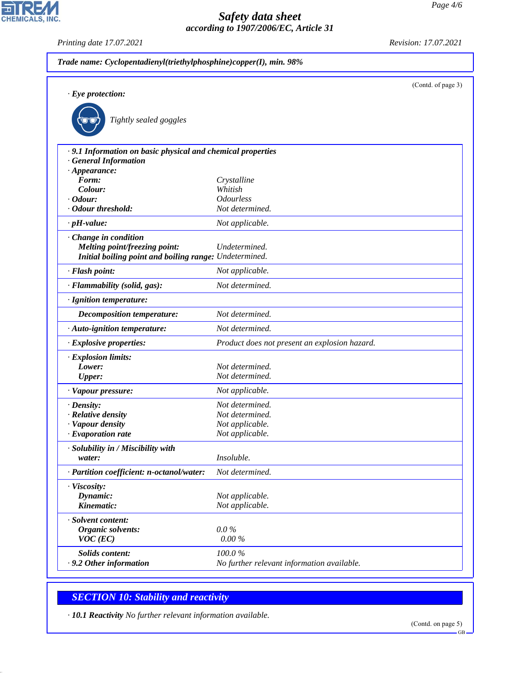*Printing date 17.07.2021 Revision: 17.07.2021*

CHEMICALS, INC.

| $\cdot$ Eye protection:                                                                  |                                               | (Contd. of page 3) |
|------------------------------------------------------------------------------------------|-----------------------------------------------|--------------------|
| Tightly sealed goggles                                                                   |                                               |                    |
|                                                                                          |                                               |                    |
| .9.1 Information on basic physical and chemical properties<br><b>General Information</b> |                                               |                    |
| $\cdot$ Appearance:                                                                      |                                               |                    |
| Form:                                                                                    | Crystalline                                   |                    |
| Colour:                                                                                  | Whitish                                       |                    |
| $\cdot$ Odour:                                                                           | <b>Odourless</b>                              |                    |
| · Odour threshold:                                                                       | Not determined.                               |                    |
| $\cdot$ pH-value:                                                                        | Not applicable.                               |                    |
| Change in condition                                                                      |                                               |                    |
| Melting point/freezing point:                                                            | Undetermined.                                 |                    |
| Initial boiling point and boiling range: Undetermined.                                   |                                               |                    |
| · Flash point:                                                                           | Not applicable.                               |                    |
| · Flammability (solid, gas):                                                             | Not determined.                               |                    |
| · Ignition temperature:                                                                  |                                               |                    |
| <b>Decomposition temperature:</b>                                                        | Not determined.                               |                    |
| · Auto-ignition temperature:                                                             | Not determined.                               |                    |
| · Explosive properties:                                                                  | Product does not present an explosion hazard. |                    |
| · Explosion limits:                                                                      |                                               |                    |
| Lower:                                                                                   | Not determined.                               |                    |
| <b>Upper:</b>                                                                            | Not determined.                               |                    |
| · Vapour pressure:                                                                       | Not applicable.                               |                    |
| $\cdot$ Density:                                                                         | Not determined.                               |                    |
| · Relative density                                                                       | Not determined.                               |                    |
| · Vapour density                                                                         | Not applicable.                               |                    |
| $\cdot$ Evaporation rate                                                                 | Not applicable.                               |                    |
| · Solubility in / Miscibility with                                                       |                                               |                    |
| water:                                                                                   | Insoluble.                                    |                    |
| · Partition coefficient: n-octanol/water:                                                | Not determined.                               |                    |
| · Viscosity:                                                                             |                                               |                    |
| Dynamic:                                                                                 | Not applicable.                               |                    |
| Kinematic:                                                                               | Not applicable.                               |                    |
| · Solvent content:                                                                       |                                               |                    |
| Organic solvents:                                                                        | $0.0\%$                                       |                    |
| $VOC$ (EC)                                                                               | $0.00\,\%$                                    |                    |
| <b>Solids content:</b>                                                                   | 100.0%                                        |                    |
| .9.2 Other information                                                                   | No further relevant information available.    |                    |
|                                                                                          |                                               |                    |

# *SECTION 10: Stability and reactivity*

44.1.1

*· 10.1 Reactivity No further relevant information available.*

GB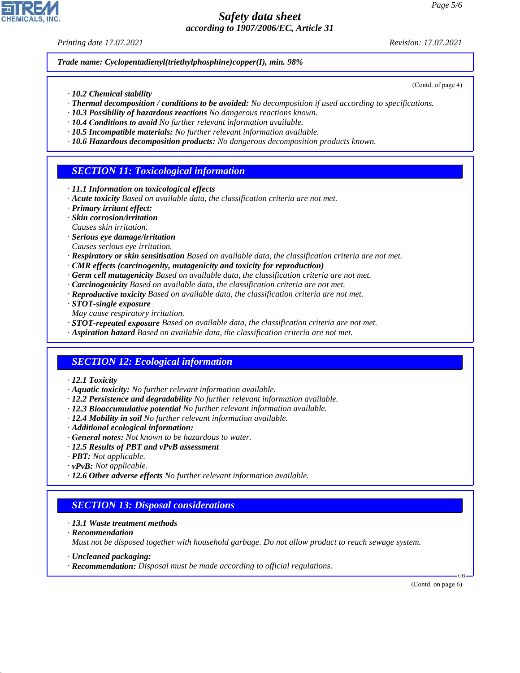*Printing date 17.07.2021 Revision: 17.07.2021*

(Contd. of page 4)

*Trade name: Cyclopentadienyl(triethylphosphine)copper(I), min. 98%*

- *· 10.2 Chemical stability*
- *· Thermal decomposition / conditions to be avoided: No decomposition if used according to specifications.*
- *· 10.3 Possibility of hazardous reactions No dangerous reactions known.*
- *· 10.4 Conditions to avoid No further relevant information available.*
- *· 10.5 Incompatible materials: No further relevant information available.*
- *· 10.6 Hazardous decomposition products: No dangerous decomposition products known.*

# *SECTION 11: Toxicological information*

- *· 11.1 Information on toxicological effects*
- *· Acute toxicity Based on available data, the classification criteria are not met.*
- *· Primary irritant effect:*
- *· Skin corrosion/irritation*
- *Causes skin irritation.*
- *· Serious eye damage/irritation*
- *Causes serious eye irritation.*
- *· Respiratory or skin sensitisation Based on available data, the classification criteria are not met.*
- *· CMR effects (carcinogenity, mutagenicity and toxicity for reproduction)*
- *· Germ cell mutagenicity Based on available data, the classification criteria are not met.*
- *· Carcinogenicity Based on available data, the classification criteria are not met.*
- *· Reproductive toxicity Based on available data, the classification criteria are not met.*
- *· STOT-single exposure*
- *May cause respiratory irritation.*
- *· STOT-repeated exposure Based on available data, the classification criteria are not met.*
- *· Aspiration hazard Based on available data, the classification criteria are not met.*

# *SECTION 12: Ecological information*

- *· 12.1 Toxicity*
- *· Aquatic toxicity: No further relevant information available.*
- *· 12.2 Persistence and degradability No further relevant information available.*
- *· 12.3 Bioaccumulative potential No further relevant information available.*
- *· 12.4 Mobility in soil No further relevant information available.*
- *· Additional ecological information:*
- *· General notes: Not known to be hazardous to water.*
- *· 12.5 Results of PBT and vPvB assessment*
- *· PBT: Not applicable.*
- *· vPvB: Not applicable.*
- *· 12.6 Other adverse effects No further relevant information available.*

#### *SECTION 13: Disposal considerations*

- *· 13.1 Waste treatment methods*
- *· Recommendation*

44.1.1

*Must not be disposed together with household garbage. Do not allow product to reach sewage system.*

- *· Uncleaned packaging:*
- *· Recommendation: Disposal must be made according to official regulations.*

(Contd. on page 6)

GB